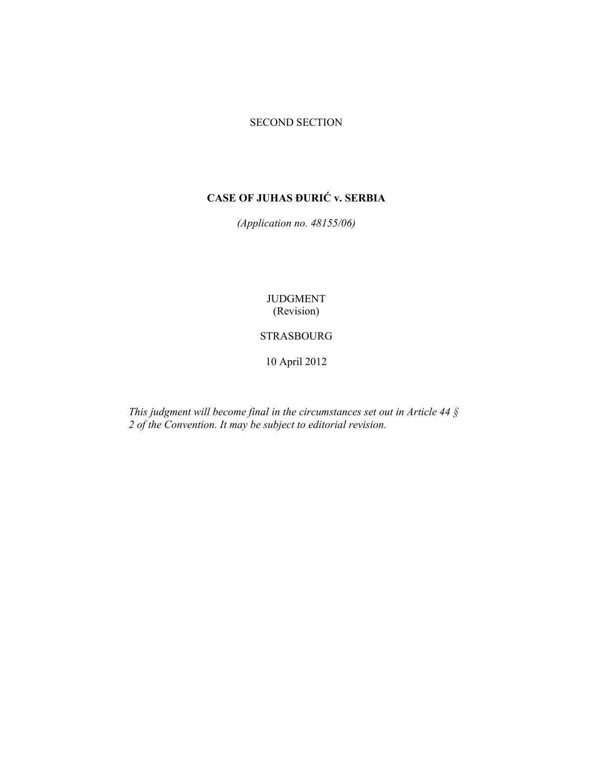# SECOND SECTION

# **CASE OF JUHAS ĐURIĆ v. SERBIA**

*(Application no. 48155/06)* 

JUDGMENT (Revision)

# STRASBOURG

10 April 2012

*This judgment will become final in the circumstances set out in Article 44 § 2 of the Convention. It may be subject to editorial revision.*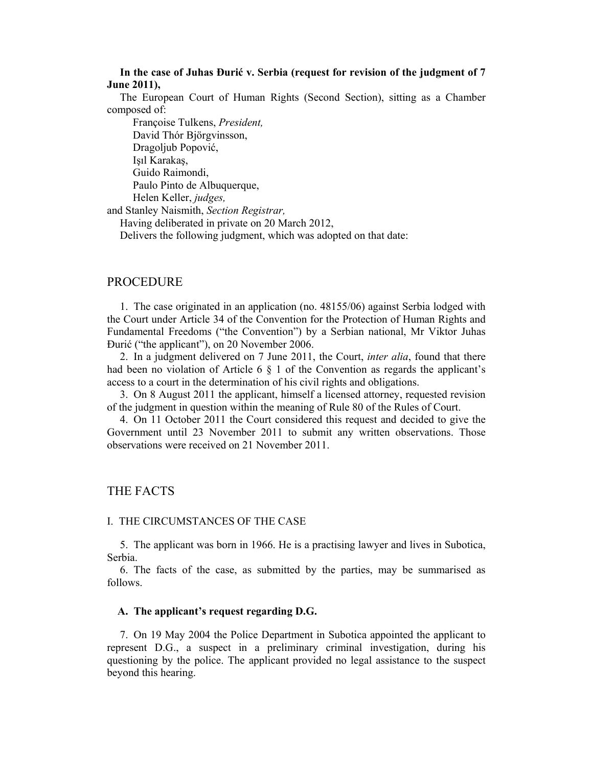**In the case of Juhas Đurić v. Serbia (request for revision of the judgment of 7 June 2011),** 

The European Court of Human Rights (Second Section), sitting as a Chamber composed of:

 Françoise Tulkens, *President,*  David Thór Björgvinsson, Dragoljub Popović, Işıl Karakaş, Guido Raimondi, Paulo Pinto de Albuquerque, Helen Keller, *judges,* and Stanley Naismith, *Section Registrar,* Having deliberated in private on 20 March 2012,

Delivers the following judgment, which was adopted on that date:

# PROCEDURE

1. The case originated in an application (no. 48155/06) against Serbia lodged with the Court under Article 34 of the Convention for the Protection of Human Rights and Fundamental Freedoms ("the Convention") by a Serbian national, Mr Viktor Juhas Đurić ("the applicant"), on 20 November 2006.

2. In a judgment delivered on 7 June 2011, the Court, *inter alia*, found that there had been no violation of Article 6  $\S$  1 of the Convention as regards the applicant's access to a court in the determination of his civil rights and obligations.

3. On 8 August 2011 the applicant, himself a licensed attorney, requested revision of the judgment in question within the meaning of Rule 80 of the Rules of Court.

4. On 11 October 2011 the Court considered this request and decided to give the Government until 23 November 2011 to submit any written observations. Those observations were received on 21 November 2011.

# THE FACTS

#### I. THE CIRCUMSTANCES OF THE CASE

5. The applicant was born in 1966. He is a practising lawyer and lives in Subotica, Serbia.

6. The facts of the case, as submitted by the parties, may be summarised as follows.

#### **A. The applicant's request regarding D.G.**

7. On 19 May 2004 the Police Department in Subotica appointed the applicant to represent D.G., a suspect in a preliminary criminal investigation, during his questioning by the police. The applicant provided no legal assistance to the suspect beyond this hearing.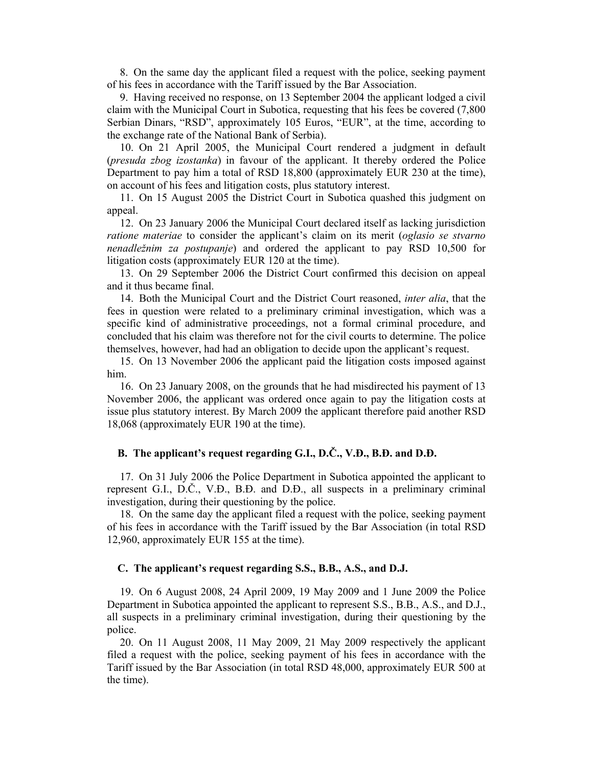8. On the same day the applicant filed a request with the police, seeking payment of his fees in accordance with the Tariff issued by the Bar Association.

9. Having received no response, on 13 September 2004 the applicant lodged a civil claim with the Municipal Court in Subotica, requesting that his fees be covered (7,800 Serbian Dinars, "RSD", approximately 105 Euros, "EUR", at the time, according to the exchange rate of the National Bank of Serbia).

10. On 21 April 2005, the Municipal Court rendered a judgment in default (*presuda zbog izostanka*) in favour of the applicant. It thereby ordered the Police Department to pay him a total of RSD 18,800 (approximately EUR 230 at the time), on account of his fees and litigation costs, plus statutory interest.

11. On 15 August 2005 the District Court in Subotica quashed this judgment on appeal.

12. On 23 January 2006 the Municipal Court declared itself as lacking jurisdiction *ratione materiae* to consider the applicant's claim on its merit (*oglasio se stvarno nenadležnim za postupanje*) and ordered the applicant to pay RSD 10,500 for litigation costs (approximately EUR 120 at the time).

13. On 29 September 2006 the District Court confirmed this decision on appeal and it thus became final.

14. Both the Municipal Court and the District Court reasoned, *inter alia*, that the fees in question were related to a preliminary criminal investigation, which was a specific kind of administrative proceedings, not a formal criminal procedure, and concluded that his claim was therefore not for the civil courts to determine. The police themselves, however, had had an obligation to decide upon the applicant's request.

15. On 13 November 2006 the applicant paid the litigation costs imposed against him.

16. On 23 January 2008, on the grounds that he had misdirected his payment of 13 November 2006, the applicant was ordered once again to pay the litigation costs at issue plus statutory interest. By March 2009 the applicant therefore paid another RSD 18,068 (approximately EUR 190 at the time).

# **B. The applicant's request regarding G.I., D.Č., V.Đ., B.Đ. and D.Đ.**

17. On 31 July 2006 the Police Department in Subotica appointed the applicant to represent G.I., D.Č., V.Đ., B.Đ. and D.Đ., all suspects in a preliminary criminal investigation, during their questioning by the police.

18. On the same day the applicant filed a request with the police, seeking payment of his fees in accordance with the Tariff issued by the Bar Association (in total RSD 12,960, approximately EUR 155 at the time).

#### **C. The applicant's request regarding S.S., B.B., A.S., and D.J.**

19. On 6 August 2008, 24 April 2009, 19 May 2009 and 1 June 2009 the Police Department in Subotica appointed the applicant to represent S.S., B.B., A.S., and D.J., all suspects in a preliminary criminal investigation, during their questioning by the police.

20. On 11 August 2008, 11 May 2009, 21 May 2009 respectively the applicant filed a request with the police, seeking payment of his fees in accordance with the Tariff issued by the Bar Association (in total RSD 48,000, approximately EUR 500 at the time).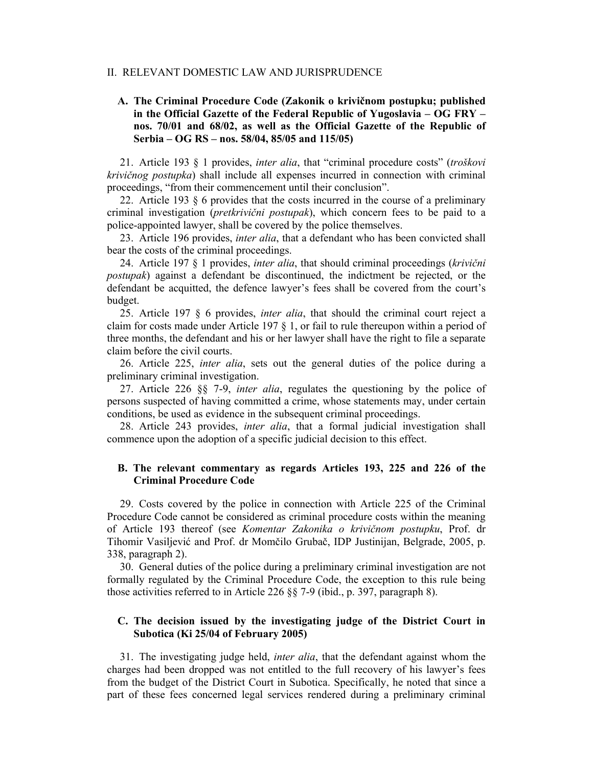#### II. RELEVANT DOMESTIC LAW AND JURISPRUDENCE

# **A. The Criminal Procedure Code (Zakonik o krivičnom postupku; published in the Official Gazette of the Federal Republic of Yugoslavia – OG FRY – nos. 70/01 and 68/02, as well as the Official Gazette of the Republic of Serbia – OG RS – nos. 58/04, 85/05 and 115/05)**

21. Article 193 § 1 provides, *inter alia*, that "criminal procedure costs" (*troškovi krivičnog postupka*) shall include all expenses incurred in connection with criminal proceedings, "from their commencement until their conclusion".

22. Article 193 § 6 provides that the costs incurred in the course of a preliminary criminal investigation (*pretkrivični postupak*), which concern fees to be paid to a police-appointed lawyer, shall be covered by the police themselves.

23. Article 196 provides, *inter alia*, that a defendant who has been convicted shall bear the costs of the criminal proceedings.

24. Article 197 § 1 provides, *inter alia*, that should criminal proceedings (*krivični postupak*) against a defendant be discontinued, the indictment be rejected, or the defendant be acquitted, the defence lawyer's fees shall be covered from the court's budget.

25. Article 197 § 6 provides, *inter alia*, that should the criminal court reject a claim for costs made under Article 197 § 1, or fail to rule thereupon within a period of three months, the defendant and his or her lawyer shall have the right to file a separate claim before the civil courts.

26. Article 225, *inter alia*, sets out the general duties of the police during a preliminary criminal investigation.

27. Article 226 §§ 7-9, *inter alia*, regulates the questioning by the police of persons suspected of having committed a crime, whose statements may, under certain conditions, be used as evidence in the subsequent criminal proceedings.

28. Article 243 provides, *inter alia*, that a formal judicial investigation shall commence upon the adoption of a specific judicial decision to this effect.

## **B. The relevant commentary as regards Articles 193, 225 and 226 of the Criminal Procedure Code**

29. Costs covered by the police in connection with Article 225 of the Criminal Procedure Code cannot be considered as criminal procedure costs within the meaning of Article 193 thereof (see *Komentar Zakonika o krivičnom postupku*, Prof. dr Tihomir Vasiljević and Prof. dr Momčilo Grubač, IDP Justinijan, Belgrade, 2005, p. 338, paragraph 2).

30. General duties of the police during a preliminary criminal investigation are not formally regulated by the Criminal Procedure Code, the exception to this rule being those activities referred to in Article 226 §§ 7-9 (ibid., p. 397, paragraph 8).

## **C. The decision issued by the investigating judge of the District Court in Subotica (Ki 25/04 of February 2005)**

31. The investigating judge held, *inter alia*, that the defendant against whom the charges had been dropped was not entitled to the full recovery of his lawyer's fees from the budget of the District Court in Subotica. Specifically, he noted that since a part of these fees concerned legal services rendered during a preliminary criminal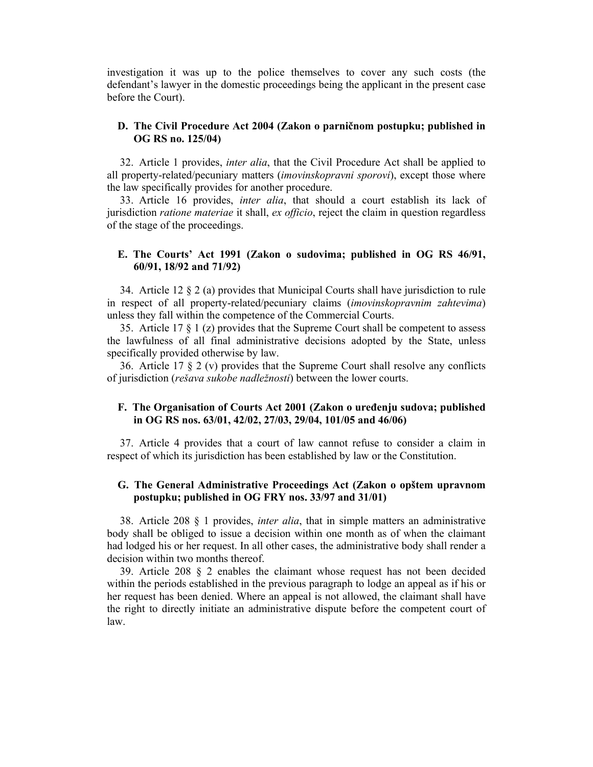investigation it was up to the police themselves to cover any such costs (the defendant's lawyer in the domestic proceedings being the applicant in the present case before the Court).

## **D. The Civil Procedure Act 2004 (Zakon o parničnom postupku; published in OG RS no. 125/04)**

32. Article 1 provides, *inter alia*, that the Civil Procedure Act shall be applied to all property-related/pecuniary matters (*imovinskopravni sporovi*), except those where the law specifically provides for another procedure.

33. Article 16 provides, *inter alia*, that should a court establish its lack of jurisdiction *ratione materiae* it shall, *ex officio*, reject the claim in question regardless of the stage of the proceedings.

## **E. The Courts' Act 1991 (Zakon o sudovima; published in OG RS 46/91, 60/91, 18/92 and 71/92)**

34. Article 12  $\S 2$  (a) provides that Municipal Courts shall have jurisdiction to rule in respect of all property-related/pecuniary claims (*imovinskopravnim zahtevima*) unless they fall within the competence of the Commercial Courts.

35. Article 17 § 1 (z) provides that the Supreme Court shall be competent to assess the lawfulness of all final administrative decisions adopted by the State, unless specifically provided otherwise by law.

36. Article 17  $\S 2$  (v) provides that the Supreme Court shall resolve any conflicts of jurisdiction (*rešava sukobe nadležnosti*) between the lower courts.

## **F. The Organisation of Courts Act 2001 (Zakon o uređenju sudova; published in OG RS nos. 63/01, 42/02, 27/03, 29/04, 101/05 and 46/06)**

37. Article 4 provides that a court of law cannot refuse to consider a claim in respect of which its jurisdiction has been established by law or the Constitution.

# **G. The General Administrative Proceedings Act (Zakon o opštem upravnom postupku; published in OG FRY nos. 33/97 and 31/01)**

38. Article 208 § 1 provides, *inter alia*, that in simple matters an administrative body shall be obliged to issue a decision within one month as of when the claimant had lodged his or her request. In all other cases, the administrative body shall render a decision within two months thereof.

39. Article 208  $\&$  2 enables the claimant whose request has not been decided within the periods established in the previous paragraph to lodge an appeal as if his or her request has been denied. Where an appeal is not allowed, the claimant shall have the right to directly initiate an administrative dispute before the competent court of law.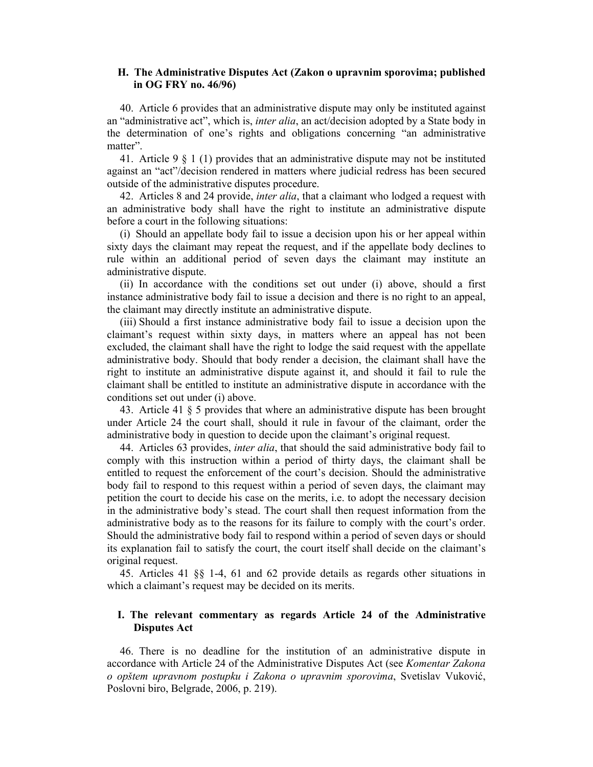## **H. The Administrative Disputes Act (Zakon o upravnim sporovima; published in OG FRY no. 46/96)**

40. Article 6 provides that an administrative dispute may only be instituted against an "administrative act", which is, *inter alia*, an act/decision adopted by a State body in the determination of one's rights and obligations concerning "an administrative matter".

41. Article 9 § 1 (1) provides that an administrative dispute may not be instituted against an "act"/decision rendered in matters where judicial redress has been secured outside of the administrative disputes procedure.

42. Articles 8 and 24 provide, *inter alia*, that a claimant who lodged a request with an administrative body shall have the right to institute an administrative dispute before a court in the following situations:

(i) Should an appellate body fail to issue a decision upon his or her appeal within sixty days the claimant may repeat the request, and if the appellate body declines to rule within an additional period of seven days the claimant may institute an administrative dispute.

(ii) In accordance with the conditions set out under (i) above, should a first instance administrative body fail to issue a decision and there is no right to an appeal, the claimant may directly institute an administrative dispute.

(iii) Should a first instance administrative body fail to issue a decision upon the claimant's request within sixty days, in matters where an appeal has not been excluded, the claimant shall have the right to lodge the said request with the appellate administrative body. Should that body render a decision, the claimant shall have the right to institute an administrative dispute against it, and should it fail to rule the claimant shall be entitled to institute an administrative dispute in accordance with the conditions set out under (i) above.

43. Article 41 § 5 provides that where an administrative dispute has been brought under Article 24 the court shall, should it rule in favour of the claimant, order the administrative body in question to decide upon the claimant's original request.

44. Articles 63 provides, *inter alia*, that should the said administrative body fail to comply with this instruction within a period of thirty days, the claimant shall be entitled to request the enforcement of the court's decision. Should the administrative body fail to respond to this request within a period of seven days, the claimant may petition the court to decide his case on the merits, i.e. to adopt the necessary decision in the administrative body's stead. The court shall then request information from the administrative body as to the reasons for its failure to comply with the court's order. Should the administrative body fail to respond within a period of seven days or should its explanation fail to satisfy the court, the court itself shall decide on the claimant's original request.

45. Articles 41 §§ 1-4, 61 and 62 provide details as regards other situations in which a claimant's request may be decided on its merits.

## **I. The relevant commentary as regards Article 24 of the Administrative Disputes Act**

46. There is no deadline for the institution of an administrative dispute in accordance with Article 24 of the Administrative Disputes Act (see *Komentar Zakona o opštem upravnom postupku i Zakona o upravnim sporovima*, Svetislav Vuković, Poslovni biro, Belgrade, 2006, p. 219).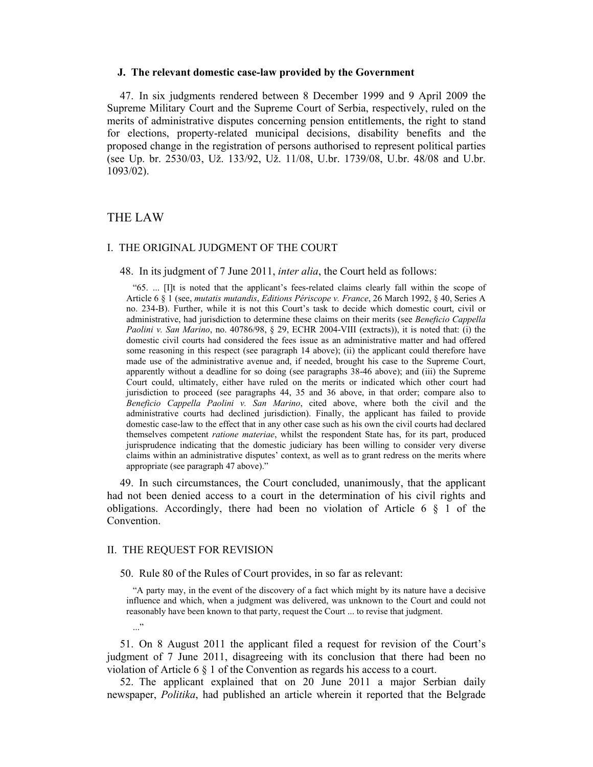#### **J. The relevant domestic case-law provided by the Government**

47. In six judgments rendered between 8 December 1999 and 9 April 2009 the Supreme Military Court and the Supreme Court of Serbia, respectively, ruled on the merits of administrative disputes concerning pension entitlements, the right to stand for elections, property-related municipal decisions, disability benefits and the proposed change in the registration of persons authorised to represent political parties (see Up. br. 2530/03, Už. 133/92, Už. 11/08, U.br. 1739/08, U.br. 48/08 and U.br. 1093/02).

## THE LAW

#### I. THE ORIGINAL JUDGMENT OF THE COURT

48. In its judgment of 7 June 2011, *inter alia*, the Court held as follows:

"65. ... [I]t is noted that the applicant's fees-related claims clearly fall within the scope of Article 6 § 1 (see, *mutatis mutandis*, *Editions Périscope v. France*, 26 March 1992, § 40, Series A no. 234-B). Further, while it is not this Court's task to decide which domestic court, civil or administrative, had jurisdiction to determine these claims on their merits (see *Beneficio Cappella Paolini v. San Marino*, no. 40786/98, § 29, ECHR 2004-VIII (extracts)), it is noted that: (i) the domestic civil courts had considered the fees issue as an administrative matter and had offered some reasoning in this respect (see paragraph 14 above); (ii) the applicant could therefore have made use of the administrative avenue and, if needed, brought his case to the Supreme Court, apparently without a deadline for so doing (see paragraphs 38-46 above); and (iii) the Supreme Court could, ultimately, either have ruled on the merits or indicated which other court had jurisdiction to proceed (see paragraphs 44, 35 and 36 above, in that order; compare also to *Beneficio Cappella Paolini v. San Marino*, cited above, where both the civil and the administrative courts had declined jurisdiction). Finally, the applicant has failed to provide domestic case-law to the effect that in any other case such as his own the civil courts had declared themselves competent *ratione materiae*, whilst the respondent State has, for its part, produced jurisprudence indicating that the domestic judiciary has been willing to consider very diverse claims within an administrative disputes' context, as well as to grant redress on the merits where appropriate (see paragraph 47 above)."

49. In such circumstances, the Court concluded, unanimously, that the applicant had not been denied access to a court in the determination of his civil rights and obligations. Accordingly, there had been no violation of Article 6 § 1 of the Convention.

#### II. THE REQUEST FOR REVISION

 $\cdot$ ..."

50. Rule 80 of the Rules of Court provides, in so far as relevant:

"A party may, in the event of the discovery of a fact which might by its nature have a decisive influence and which, when a judgment was delivered, was unknown to the Court and could not reasonably have been known to that party, request the Court ... to revise that judgment.

51. On 8 August 2011 the applicant filed a request for revision of the Court's judgment of 7 June 2011, disagreeing with its conclusion that there had been no violation of Article 6 § 1 of the Convention as regards his access to a court.

52. The applicant explained that on 20 June 2011 a major Serbian daily newspaper, *Politika*, had published an article wherein it reported that the Belgrade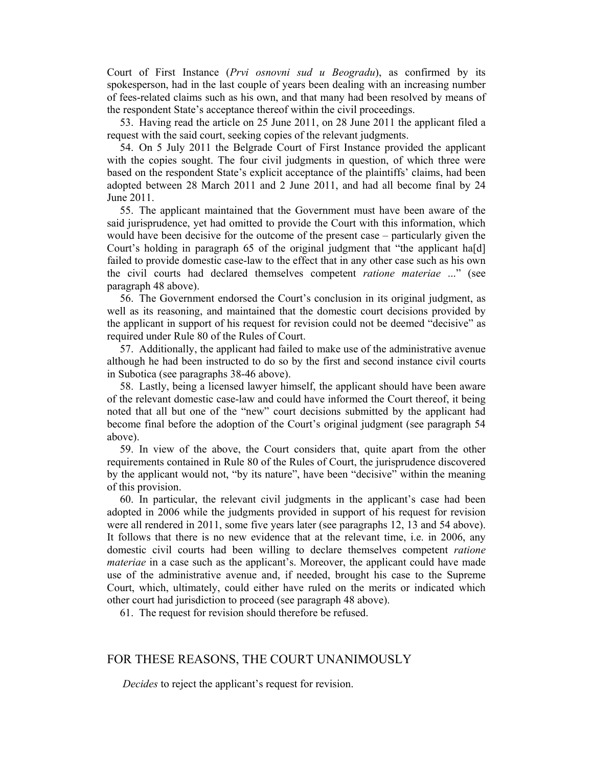Court of First Instance (*Prvi osnovni sud u Beogradu*), as confirmed by its spokesperson, had in the last couple of years been dealing with an increasing number of fees-related claims such as his own, and that many had been resolved by means of the respondent State's acceptance thereof within the civil proceedings.

53. Having read the article on 25 June 2011, on 28 June 2011 the applicant filed a request with the said court, seeking copies of the relevant judgments.

54. On 5 July 2011 the Belgrade Court of First Instance provided the applicant with the copies sought. The four civil judgments in question, of which three were based on the respondent State's explicit acceptance of the plaintiffs' claims, had been adopted between 28 March 2011 and 2 June 2011, and had all become final by 24 June 2011.

55. The applicant maintained that the Government must have been aware of the said jurisprudence, yet had omitted to provide the Court with this information, which would have been decisive for the outcome of the present case – particularly given the Court's holding in paragraph 65 of the original judgment that "the applicant ha[d] failed to provide domestic case-law to the effect that in any other case such as his own the civil courts had declared themselves competent *ratione materiae* ..." (see paragraph 48 above).

56. The Government endorsed the Court's conclusion in its original judgment, as well as its reasoning, and maintained that the domestic court decisions provided by the applicant in support of his request for revision could not be deemed "decisive" as required under Rule 80 of the Rules of Court.

57. Additionally, the applicant had failed to make use of the administrative avenue although he had been instructed to do so by the first and second instance civil courts in Subotica (see paragraphs 38-46 above).

58. Lastly, being a licensed lawyer himself, the applicant should have been aware of the relevant domestic case-law and could have informed the Court thereof, it being noted that all but one of the "new" court decisions submitted by the applicant had become final before the adoption of the Court's original judgment (see paragraph 54 above).

59. In view of the above, the Court considers that, quite apart from the other requirements contained in Rule 80 of the Rules of Court, the jurisprudence discovered by the applicant would not, "by its nature", have been "decisive" within the meaning of this provision.

60. In particular, the relevant civil judgments in the applicant's case had been adopted in 2006 while the judgments provided in support of his request for revision were all rendered in 2011, some five years later (see paragraphs 12, 13 and 54 above). It follows that there is no new evidence that at the relevant time, i.e. in 2006, any domestic civil courts had been willing to declare themselves competent *ratione materiae* in a case such as the applicant's. Moreover, the applicant could have made use of the administrative avenue and, if needed, brought his case to the Supreme Court, which, ultimately, could either have ruled on the merits or indicated which other court had jurisdiction to proceed (see paragraph 48 above).

61. The request for revision should therefore be refused.

# FOR THESE REASONS, THE COURT UNANIMOUSLY

*Decides* to reject the applicant's request for revision.